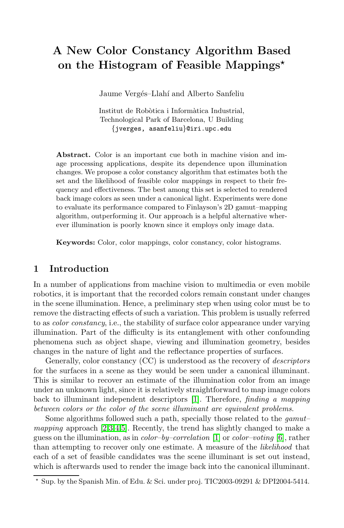# **A New Color Constancy Algorithm Based on the Histogram of Feasible Mappings**

Jaume Vergés–Llahí and Alberto Sanfeliu

Institut de Robòtica i Informàtica Industrial, Technological Park of Barcelona, U Building {jverges, asanfeliu}@iri.upc.edu

**Abstract.** Color is an important cue both in machine vision and image processing applications, despite its dependence upon illumination changes. We propose a color constancy algorithm that estimates both the set and the likelihood of feasible color mappings in respect to their frequency and effectiveness. The best among this set is selected to rendered back image colors as seen under a canonical light. Experiments were done to evaluate its performance compared to Finlayson's 2D gamut–mapping algorithm, outperforming it. Our approach is a helpful alternative wherever illumination is poorly known since it employs only image data.

**Keywords:** Color, color mappings, color constancy, color histograms.

## **1 Introduction**

In a number of applications from machine vision to multimedia or even mobile robotics, it is important that the recorded colors remain constant under changes in the scene illumination. Hence, a preliminary step when using color must be to remove the distracting effects of such a variation. This problem is usually referred to as color constancy, i.e., the stability of surface color appearance under varying illumination. Part of the [diffi](#page-7-0)culty is its entanglement with other confounding phenomena such as object shape, viewing and illumination geometry, besides changes in the nature of light and the reflectance properties of surfaces.

[Ge](#page-8-1)[ne](#page-8-2)rally, color constancy (CC) is understood as the recovery of *descriptors* for the surfaces in a scene as the[y](#page-7-0) would be seen [und](#page-8-3)er a canonical illuminant. This is similar to recover an estimate of the illumination color from an image under an unknown light, since it is relatively straightforward to map image colors back to illuminant independent descriptors [1]. Therefore, finding a mapping between colors or the color of the scene illuminant are equivalent problems.

Some algorithms followed such a path, specially those related to the gamut– *mapping* approach  $[2,3,4,5]$ . Recently[, the](#page-7-1) trend has slightly changed to make a guess on the illumination, as in *color-by-correlation* [1] or *color-voting* [6], rather than attempting to recover only one estimate. A measure of the likelihood that each of a set of feasible candidates was the scene illuminant is set out instead, which is afterwards used to render the image back into the canonical illuminant.

 $\star$  Sup. by the Spanish Min. of Edu. & Sci. under proj. TIC2003-09291 & DPI2004-5414.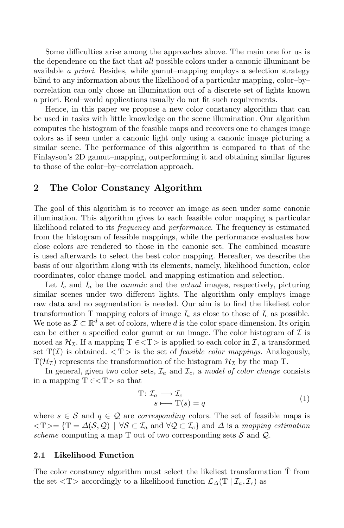Some difficulties arise among the approaches above. The main one for us is the dependence on the fact that all possible colors under a canonic illuminant be available a priori. Besides, while gamut–mapping employs a selection strategy blind to any information about the likelihood of a particular mapping, color–by– correlation can only chose an illumination out of a discrete set of lights known a priori. Real–world applications usually do not fit such requirements.

Hence, in this paper we propose a new color constancy algorithm that can be used in tasks with little knowledge on the scene illumination. Our algorithm computes the histogram of the feasible maps and recovers one to changes image colors as if seen under a canonic light only using a canonic image picturing a similar scene. The performance of this algorithm is compared to that of the Finlayson's 2D gamut–mapping, outperforming it and obtaining similar figures to those of the color–by–correlation approach.

## **2 The Color Constancy Algorithm**

The goal of this algorithm is to recover an image as seen under some canonic illumination. This algorithm gives to each feasible color mapping a particular likelihood related to its frequency and performance. The frequency is estimated from the histogram of feasible mappings, while the performance evaluates how close colors are rendered to those in the canonic set. The combined measure is used afterwards to select the best color mapping. Hereafter, we describe the basis of our algorithm along with its elements, namely, likelihood function, color coordinates, color change model, and mapping estimation and selection.

Let  $I_c$  and  $I_a$  be the *canonic* and the *actual* images, respectively, picturing similar scenes under two different lights. The algorithm only employs image raw data and no segmentation is needed. Our aim is to find the likeliest color transformation T mapping colors of image  $I_a$  as close to those of  $I_c$  as possible. We note as  $\mathcal{I} \subset \mathbb{R}^d$  a set of colors, where d is the color space dimension. Its origin can be either a specified color gamut or an image. The color histogram of  $\mathcal I$  is noted as  $\mathcal{H}_{\mathcal{I}}$ . If a mapping  $T \in \langle T \rangle$  is applied to each color in  $\mathcal{I}$ , a transformed set  $T(\mathcal{I})$  is obtained.  $\langle T \rangle$  is the set of *feasible color mappings*. Analogously,  $T(\mathcal{H}_I)$  represents the transformation of the histogram  $\mathcal{H}_I$  by the map T.

In general, given two color sets,  $\mathcal{I}_a$  and  $\mathcal{I}_c$ , a model of color change consists in a mapping  $T \in \langle T \rangle$  so that

<span id="page-1-0"></span>
$$
T: \mathcal{I}_a \longrightarrow \mathcal{I}_cs \longmapsto T(s) = q
$$
 (1)

where  $s \in \mathcal{S}$  and  $q \in \mathcal{Q}$  are *corresponding* colors. The set of feasible maps is  $\langle T \rangle = \{T = \Delta(\mathcal{S}, \mathcal{Q}) \mid \forall \mathcal{S} \subset \mathcal{I}_a \text{ and } \forall \mathcal{Q} \subset \mathcal{I}_c \}$  and  $\Delta$  is a mapping estimation scheme computing a map T out of two corresponding sets  $S$  and  $Q$ .

#### **2.1 Likelihood Function**

The color constancy algorithm must select the likeliest transformation  $\hat{T}$  from the set  $\langle T \rangle$  accordingly to a likelihood function  $\mathcal{L}_{\Delta}(T | \mathcal{I}_a, \mathcal{I}_c)$  as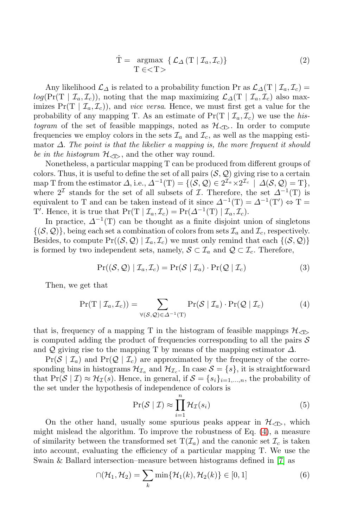$$
\hat{T} = \underset{T \in \langle T \rangle}{\operatorname{argmax}} \{ \mathcal{L}_{\Delta}(T | \mathcal{I}_{a}, \mathcal{I}_{c}) \}
$$
\n(2)

Any likelihood  $\mathcal{L}_{\Delta}$  is related to a probability function Pr as  $\mathcal{L}_{\Delta}(\mathrm{T} | \mathcal{I}_a, \mathcal{I}_c)$  = log(Pr(T |  $\mathcal{I}_a, \mathcal{I}_c$ )), noting that the map maximizing  $\mathcal{L}_{\Delta}(\mathrm{T} | \mathcal{I}_a, \mathcal{I}_c)$  also maximizes  $Pr(T | \mathcal{I}_a, \mathcal{I}_c)$ , and *vice versa*. Hence, we must first get a value for the probability of any mapping T. As an estimate of  $Pr(T | \mathcal{I}_a, \mathcal{I}_c)$  we use the histogram of the set of feasible mappings, noted as  $\mathcal{H}_{\leq N}$ . In order to compute frequencies we employ colors in the sets  $\mathcal{I}_a$  and  $\mathcal{I}_c$ , as well as the mapping estimator  $\Delta$ . The point is that the likelier a mapping is, the more frequent it should be in the histogram  $\mathcal{H}_{\leq \mathbb{D}}$ , and the other way round.

Nonetheless, a particular mapping T can be produced from different groups of colors. Thus, it is useful to define the set of all pairs  $(S, \mathcal{Q})$  giving rise to a certain map T from the estimator  $\Delta$ , i.e.,  $\Delta^{-1}(T) = \{(\mathcal{S}, \mathcal{Q}) \in 2^{\mathcal{I}_a} \times 2^{\mathcal{I}_c} \mid \Delta(\mathcal{S}, \mathcal{Q}) = T\},\$ where  $2^{\mathcal{I}}$  stands for the set of all subsets of  $\mathcal{I}$ . Therefore, the set  $\Delta^{-1}(T)$  is equivalent to T and can be taken instead of it since  $\Delta^{-1}(T) = \Delta^{-1}(T') \Leftrightarrow T =$ T'. Hence, it is true that  $Pr(T | \mathcal{I}_a, \mathcal{I}_c) = Pr(\Delta^{-1}(T) | \mathcal{I}_a, \mathcal{I}_c)$ .

<span id="page-2-0"></span>In practice,  $\Delta^{-1}(T)$  can be thought as a finite disjoint union of singletons  $\{(\mathcal{S}, \mathcal{Q})\}\$ , being each set a combination of colors from sets  $\mathcal{I}_a$  and  $\mathcal{I}_c$ , respectively. Besides, to compute  $Pr((\mathcal{S}, \mathcal{Q}) | \mathcal{I}_a, \mathcal{I}_c)$  we must only remind that each  $\{(\mathcal{S}, \mathcal{Q})\}$ is formed by two independent sets, namely,  $S \subset \mathcal{I}_a$  and  $\mathcal{Q} \subset \mathcal{I}_c$ . Therefore,

$$
Pr((\mathcal{S}, \mathcal{Q}) | \mathcal{I}_a, \mathcal{I}_c) = Pr(\mathcal{S} | \mathcal{I}_a) \cdot Pr(\mathcal{Q} | \mathcal{I}_c)
$$
\n(3)

Then, we get that

$$
Pr(T | \mathcal{I}_a, \mathcal{I}_c)) = \sum_{\forall (\mathcal{S}, \mathcal{Q}) \in \Delta^{-1}(T)} Pr(\mathcal{S} | \mathcal{I}_a) \cdot Pr(\mathcal{Q} | \mathcal{I}_c)
$$
(4)

that is, frequency of a mapping T in the histogram of feasible mappings  $\mathcal{H}_{\leq 1}$ is computed adding the product of frequencies corresponding to all the pairs  $S$ and Q giving rise to the mapping T by means of the mapping estimator  $\Delta$ .

 $Pr(S | \mathcal{I}_a)$  and  $Pr(Q | \mathcal{I}_c)$  are approximat[ed](#page-2-0) by the frequency of the corresponding bins in histograms  $\mathcal{H}_{I_a}$  and  $\mathcal{H}_{I_c}$ . In case  $\mathcal{S} = \{s\}$ , it is straightforward that  $Pr(S | \mathcal{I}) \approx \mathcal{H}_{\mathcal{I}}(s)$ . Hence, in general, if  $\mathcal{S} = \{s_i\}_{i=1,\dots,n}$ , the probability of the set under the hypothesis of independence of co[lor](#page-8-4)s is

$$
\Pr(\mathcal{S} \mid \mathcal{I}) \approx \prod_{i=1}^{n} \mathcal{H}_{\mathcal{I}}(s_i)
$$
\n(5)

On the other hand, usually some spurious peaks appear in  $\mathcal{H}_{\langle \mathcal{I} \rangle}$ , which might mislead the algorithm. To improve the robustness of Eq. (4), a measure of similarity between the transformed set  $T(\mathcal{I}_a)$  and the canonic set  $\mathcal{I}_c$  is taken into account, evaluating the efficiency of a particular mapping T. We use the Swain & Ballard intersection–measure between histograms defined in [7] as

$$
\bigcap (\mathcal{H}_1, \mathcal{H}_2) = \sum_k \min \{ \mathcal{H}_1(k), \mathcal{H}_2(k) \} \in [0, 1]
$$
\n
$$
(6)
$$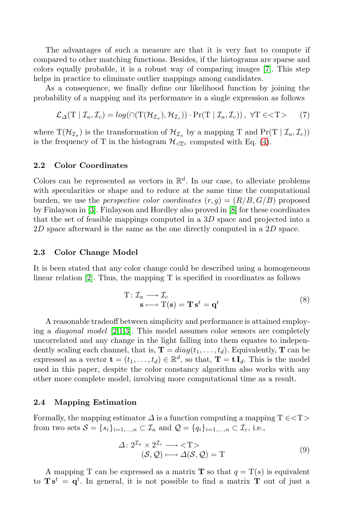The advantages of such a measure are that it is very fast to compute if compared to other matching functions. Besides, if the histograms are sparse and colors equally probable, it is a robust way of [co](#page-2-0)mparing images [7]. This step helps in practice to eliminate outlier mappings among candidates.

As a consequence, we finally define our likelihood function by joining the probability of a mapping and its performance in a single expression as follows

$$
\mathcal{L}_{\Delta}(\mathrm{T} \mid \mathcal{I}_{a}, \mathcal{I}_{c}) = log(\cap(\mathrm{T}(\mathcal{H}_{\mathcal{I}_{a}}), \mathcal{H}_{\mathcal{I}_{c}})) \cdot \Pr(\mathrm{T} \mid \mathcal{I}_{a}, \mathcal{I}_{c})) , \ \forall \mathrm{T} \in <\mathrm{T}> \tag{7}
$$

where  $T(\mathcal{H}_{\mathcal{I}_a})$  is the transformation of  $\mathcal{H}_{\mathcal{I}_a}$  by a mapping T and Pr(T  $|\mathcal{I}_a, \mathcal{I}_c|$ ) is the frequency of T in the histogra[m](#page-8-5)  $\mathcal{H}_{\leq T}$  computed with Eq. (4).

#### **2.2 Color Coordinates**

Colors can be represented as vectors in  $\mathbb{R}^d$ . In our case, to alleviate problems with specularities or shape and to reduce at the same time the computational burden, we use the *perspective color coordinates*  $(r, q) = (R/B, G/B)$  proposed by Finlayson in [3]. Finlayson and Hordley also proved in [8] for these coordinates that the set of feasible mappings computed in a  $3D$  space and projected into a 2D space afterward is the same as the one directly computed in a 2D space.

#### **2.3 Color Change Model**

It i[s](#page-7-2) [be](#page-7-0)[en](#page-8-0) stated that any color change could be described using a homogeneous linear relation [2]. Thus, the mapping T is specified in coordinates as follows

$$
T: \mathcal{I}_a \longrightarrow \mathcal{I}_c\n\mathbf{s} \longmapsto T(\mathbf{s}) = \mathbf{T}\,\mathbf{s}^t = \mathbf{q}^t
$$
\n(8)

A reasonable tradeoff between simplicity and performance is attained employing a *diagonal model* [2,1,3]. This model assumes color sensors are completely uncorrelated and any change in the light falling into them equates to independently scaling each channel, that is,  $\mathbf{T} = diag(t_1, \ldots, t_d)$ . Equivalently, **T** can be expressed as a vector  $\mathbf{t} = (t_1, \ldots, t_d) \in \mathbb{R}^d$ , so that,  $\mathbf{T} = \mathbf{t} \mathbf{I}_d$ . This is the model used in this paper, despite the color constancy algorithm also works with any other more complete model, involving more computational time as a result.

#### **2.4 Mapping Estimation**

Formally, the mapping estimator  $\Delta$  is a function computing a mapping  $T \in \langle T \rangle$ from two sets  $S = \{s_i\}_{i=1,\dots,n} \subset \mathcal{I}_a$  and  $\mathcal{Q} = \{q_i\}_{i=1,\dots,n} \subset \mathcal{I}_c$ , i.e.,

$$
\Delta: 2^{\mathcal{I}_a} \times 2^{\mathcal{I}_c} \longrightarrow \langle T \rangle (\mathcal{S}, \mathcal{Q}) \longmapsto \Delta(\mathcal{S}, \mathcal{Q}) = T
$$
 (9)

A mapping T can be expressed as a matrix **T** so that  $q = T(s)$  is equivalent to  $\mathbf{T} s^t = \mathbf{q}^t$ . In general, it is not possible to find a matrix **T** out of just a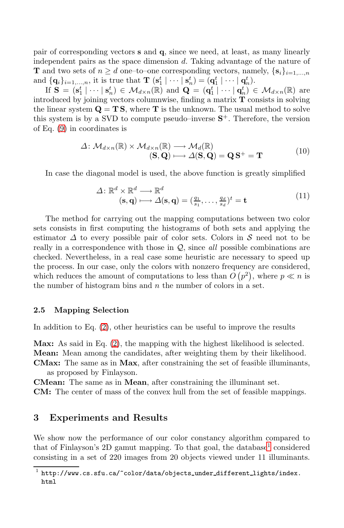pair of corresponding vectors **s** and **q**, since we need, at least, as many linearly independent pairs as the space dimension d. Taking advantage of the nature of **T** and two sets of  $n \geq d$  one–to–one corresponding vectors, namely,  $\{s_i\}_{i=1,\ldots,n}$ and  $\{\mathbf{q}_i\}_{i=1,\ldots,n}$ , it is true that  $\mathbf{T}$   $(\mathbf{s}_1^t | \cdots | \mathbf{s}_n^t) = (\mathbf{q}_1^t | \cdots | \mathbf{q}_n^t).$ 

If  $\mathbf{S} = (\mathbf{s}_1^t | \cdots | \mathbf{s}_n^t) \in \mathcal{M}_{d \times n}(\mathbb{R})$  and  $\mathbf{Q} = (\mathbf{q}_1^t | \cdots | \mathbf{q}_n^t) \in \mathcal{M}_{d \times n}(\mathbb{R})$  are introduced by joining vectors columnwise, finding a matrix **T** consists in solving the linear system  $\mathbf{Q} = \mathbf{T} \mathbf{S}$ , where  $\mathbf{T}$  is the unknown. The usual method to solve this system is by a SVD to compute pseudo–inverse  $S^+$ . Therefore, the version of Eq. (9) in coordinates is

$$
\Delta: \mathcal{M}_{d \times n}(\mathbb{R}) \times \mathcal{M}_{d \times n}(\mathbb{R}) \longrightarrow \mathcal{M}_d(\mathbb{R})
$$
  

$$
(\mathbf{S}, \mathbf{Q}) \longmapsto \Delta(\mathbf{S}, \mathbf{Q}) = \mathbf{Q} \mathbf{S}^+ = \mathbf{T}
$$
 (10)

In case the diagonal model is used, the above function is greatly simplified

$$
\Delta: \mathbb{R}^d \times \mathbb{R}^d \longrightarrow \mathbb{R}^d
$$
  
\n
$$
(\mathbf{s}, \mathbf{q}) \longmapsto \Delta(\mathbf{s}, \mathbf{q}) = (\frac{q_1}{s_1}, \dots, \frac{q_d}{s_d})^t = \mathbf{t}
$$
\n(11)

<span id="page-4-1"></span>The method for carrying out the mapping computations between two color sets consists in first computing the histograms of both sets and applying the estimator  $\Delta$  to every possible pair of color sets. Colors in S need not to be really in a correspondence with those in  $Q$ , since all possible combinations are [ch](#page-1-0)ecked. Nevertheless, in a real case some heuristic are necessary to speed up the process. In our case, only the colors with nonzero frequency are considered, whi[ch](#page-1-0) reduces the amount of computations to less than  $O(p^2)$ , where  $p \ll n$  is the number of histogram bins and  $n$  the number of colors in a set.

#### **2.5 Mapping Selection**

In addition to Eq. (2), other heuristics can be useful to improve the results

**Max:** As said in Eq. (2), the mapping with the highest likelihood is selected. **Mean:** Mean among the candidates, after weighting them by their likelihood. **CMax:** The same as in **Max**, after constraining the set of feasible illuminants, as proposed by Finlayson.

**CMean:** The same as in **Mean**, after constrai[nin](#page-4-0)g the illuminant set. **CM:** The center of mass of the convex hull from the set of feasible mappings.

## <span id="page-4-0"></span>**3 Experiments and Results**

We show now the performance of our color constancy algorithm compared to that of Finlayson's 2D gamut mapping. To that goal, the database<sup>1</sup> considered consisting in a set of 220 images from 20 objects viewed under 11 illuminants.

 $1$  http://www.cs.sfu.ca/~color/data/objects\_under\_different\_lights/index. html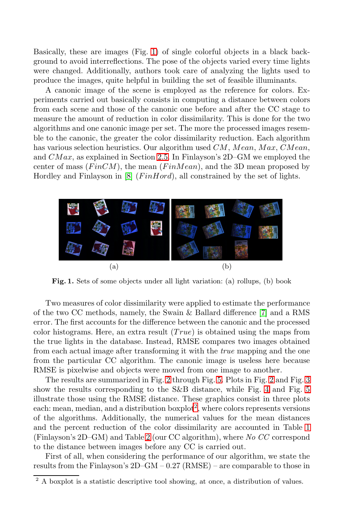Basically, these are images (Fig. 1) of single colorful objects in a black background to avoid interreflections. The pose of the objects varied every time lights were changed. Additionally, authors took care of analyzing the lights used to produce the images, quite helpful in building the set of feasible illuminants.

A canonic i[mage](#page-4-1) of the scene is employed as the reference for colors. Experiments carried out basically consists in computing a distance between colors from ea[ch](#page-8-5) scene and those of the canonic one before and after the CC stage to measure the amount of reduction in color dissimilarity. This is done for the two algorithms and one canonic image per set. The more the processed images resemble to the canonic, the greater the color dissimilarity reduction. Each algorithm has various selection heuristics. Our algorithm used CM, Mean, Max, CMean, and CMax, as explained in Section 2.5. In Finlayson's 2D–GM we employed the center of mass ( $FinCM$ ), the mean ( $FinMean$ ), and the 3D mean proposed by Hordley and Finlayson in [8] (FinHord), all constrained by the set of lights.



**Fig. 1.** Sets of some objects under all light variation: (a) rollups, (b) book

Two measures of color dissimilarity were applied to estimate the performance of the two CC met[ho](#page-6-0)ds, namely, [th](#page-6-1)e Swain & B[all](#page-6-0)ard diffe[ren](#page-6-2)ce [7] and a RMS error. The first accounts for the difference betwe[en](#page-6-3) the cano[nic](#page-6-1) and the processed color histograms. Here, an extra result  $(True)$  is obtained using the maps from the true lights in the data[ba](#page-5-0)se. Instead, RMSE compares two images obtained from each actual image after transforming it with the *true* mapping and the one from the particular CC algorithm. The canonic image is [us](#page-7-3)eless here because RMSE is pix[elw](#page-7-4)ise and objects were moved from one image to another.

The results are summarized in Fig. 2 through Fig. 5. Plots in Fig. 2 and Fig. 3 show the results corresponding to the S&B distance, while Fig. 4 and Fig. 5 illustrate those using the RMSE distance. These graphics consist in three plots each: mean, median, and a distribution boxplot<sup>2</sup>, where colors represents versions of the algorithms. Additionally, the numerical values for the mean distances and the percent reduction of the color dissimilarity are accounted in Table 1 (Finlayson's 2D–GM) and Table 2 (our CC algorithm), where No CC correspond to the distance between images before any CC is carried out.

<span id="page-5-0"></span>First of all, when considering the performance of our algorithm, we state the results from the Finlayson's 2D–GM – 0.27 (RMSE) – are comparable to those in

<sup>&</sup>lt;sup>2</sup> A boxplot is a statistic descriptive tool showing, at once, a distribution of values.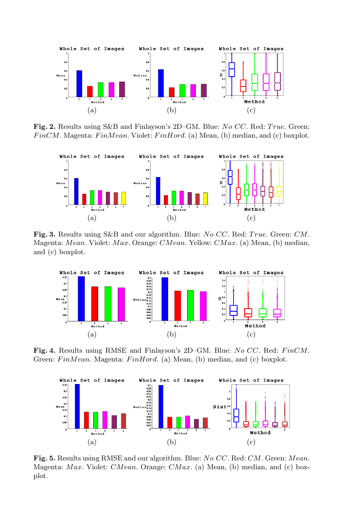<span id="page-6-0"></span>

<span id="page-6-2"></span>**Fig. 2.** Results using S&B and Finlayson's 2D–GM. Blue: No CC. Red: True. Green: FinCM. Magenta: FinMean. Violet: FinHord. (a) Mean, (b) median, and (c) boxplot.



Fig. 3. Results using S&B and our algorithm. Blue: No CC. Red: True. Green: CM. Magenta: Mean. Violet: Max. Orange: CMean. Yellow: CMax. (a) Mean, (b) median, and (c) boxplot.

<span id="page-6-3"></span>

<span id="page-6-1"></span>**Fig. 4.** Results using RMSE and Finlayson's 2D–GM. Blue: No CC. Red: FinCM. Green: FinMean. Magenta: FinHord. (a) Mean, (b) median, and (c) boxplot.



**Fig. 5.** Results using RMSE and our algorithm. Blue: No CC. Red: CM. Green: Mean. Magenta: Max. Violet: CMean. Orange: CMax. (a) Mean, (b) median, and (c) boxplot.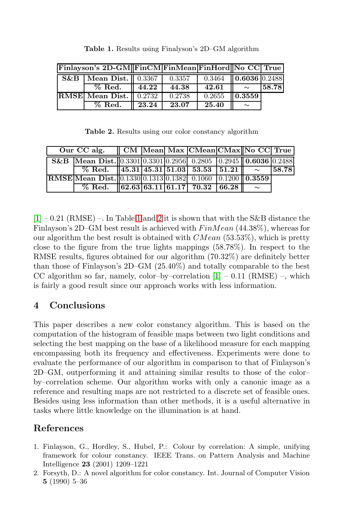<span id="page-7-4"></span><span id="page-7-3"></span>

| Finlayson's 2D-GM FinCM FinMean FinHord No CC True |                           |        |        |                                                |        |       |
|----------------------------------------------------|---------------------------|--------|--------|------------------------------------------------|--------|-------|
| S&B                                                | Mean Dist. $\vert$ 0.3367 |        | 0.3357 | $0.3464$ $\parallel$ 0.6036 $\parallel$ 0.2488 |        |       |
|                                                    | $%$ Red.                  | 44.22  | 44.38  | 42.61                                          |        | 58.78 |
|                                                    | RMSE Mean Dist.           | 0.2732 | 0.2738 | 0.2655                                         | 0.3559 |       |
|                                                    | $%$ Red.                  | 23.24  | 23.07  | 25.40                                          | $\sim$ |       |

**Table 1.** Results using Finalyson's 2D–GM algorithm

**Table 2.** Results using our color constancy algorithm

| Our CC alg. |                                                                 |  | CM  Mean  Max   CMean  CMax    No CC   True |  |       |
|-------------|-----------------------------------------------------------------|--|---------------------------------------------|--|-------|
|             | S&B Mean Dist. 0.3301 0.3301 0.2956 0.2805 0.2945 0.6036 0.2488 |  |                                             |  |       |
|             | $\%$ Red. 45.31 45.31 51.03 53.53 51.21 $\sim$                  |  |                                             |  | 58.78 |
|             | RMSE Mean Dist. 0.1330 0.1313 0.1382 0.1060 0.1200 0.3559       |  |                                             |  |       |
|             | $\%$ Red. 62.63 63.11 61.17 70.32 66.28                         |  |                                             |  |       |

 $[1]$  – 0.21 (RMSE) –. In Table 1 and 2 it is shown that with the S&B distance the Finlayson's 2D–GM best result is achieved with  $FinMean (44.38\%)$ , whereas for our algorithm the best result is obtained with  $CMean$  (53.53%), which is pretty close to the figure from the true lights mappings (58.78%). In respect to the RMSE results, figures obtained for our algorithm (70.32%) are definitely better than those of Finlayson's 2D–GM (25.40%) and totally comparable to the best CC algorithm so far, namely, color-by-correlation  $[1]$  – 0.11 (RMSE) –, which is fairly a good result since our approach works with less information.

## **4 Conclusions**

<span id="page-7-1"></span><span id="page-7-0"></span>This paper describes a new color constancy algorithm. This is based on the computation of the histogram of feasible maps between two light conditions and selecting the best mapping on the base of a likelihood measure for each mapping encompassing both its frequency and effectiveness. Experiments were done to evaluate the performance of our algorithm in comparison to that of Finlayson's 2D–GM, outperforming it and attaining similar results to those of the color– by–correlation scheme. Our algorithm works with only a canonic image as a reference and resulting maps are not restricted to a discrete set of feasible ones. Besides using less information than other methods, it is a useful alternative in tasks where little knowledge on the illumination is at hand.

## <span id="page-7-2"></span>**References**

- 1. Finlayson, G., Hordley, S., Hubel, P.: Colour by correlation: A simple, unifying framework for colour constancy. IEEE Trans. on Pattern Analysis and Machine Intelligence **23** (2001) 1209–1221
- 2. Forsyth, D.: A novel algorithm for color constancy. Int. Journal of Computer Vision **5** (1990) 5–36